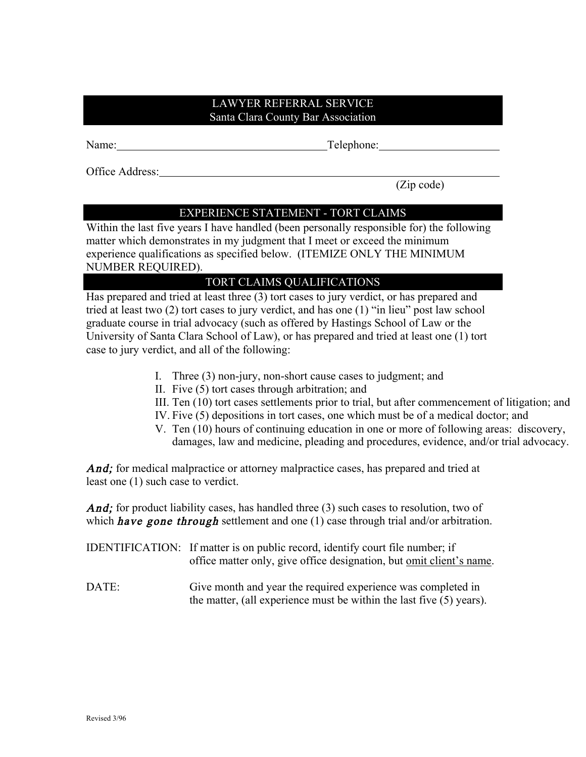## LAWYER REFERRAL SERVICE Santa Clara County Bar Association

Name: Telephone: Telephone:

Office Address:

(Zip code)

## EXPERIENCE STATEMENT - TORT CLAIMS

Within the last five years I have handled (been personally responsible for) the following matter which demonstrates in my judgment that I meet or exceed the minimum experience qualifications as specified below. (ITEMIZE ONLY THE MINIMUM NUMBER REQUIRED).

## TORT CLAIMS QUALIFICATIONS

Has prepared and tried at least three (3) tort cases to jury verdict, or has prepared and tried at least two (2) tort cases to jury verdict, and has one (1) "in lieu" post law school graduate course in trial advocacy (such as offered by Hastings School of Law or the University of Santa Clara School of Law), or has prepared and tried at least one (1) tort case to jury verdict, and all of the following:

- I. Three (3) non-jury, non-short cause cases to judgment; and
- II. Five (5) tort cases through arbitration; and
- III. Ten (10) tort cases settlements prior to trial, but after commencement of litigation; and
- IV. Five (5) depositions in tort cases, one which must be of a medical doctor; and
- V. Ten (10) hours of continuing education in one or more of following areas: discovery, damages, law and medicine, pleading and procedures, evidence, and/or trial advocacy.

And; for medical malpractice or attorney malpractice cases, has prepared and tried at least one (1) such case to verdict.

And; for product liability cases, has handled three (3) such cases to resolution, two of which **have gone through** settlement and one  $(1)$  case through trial and/or arbitration.

- IDENTIFICATION: If matter is on public record, identify court file number; if office matter only, give office designation, but omit client's name.
- DATE: Give month and year the required experience was completed in the matter, (all experience must be within the last five (5) years).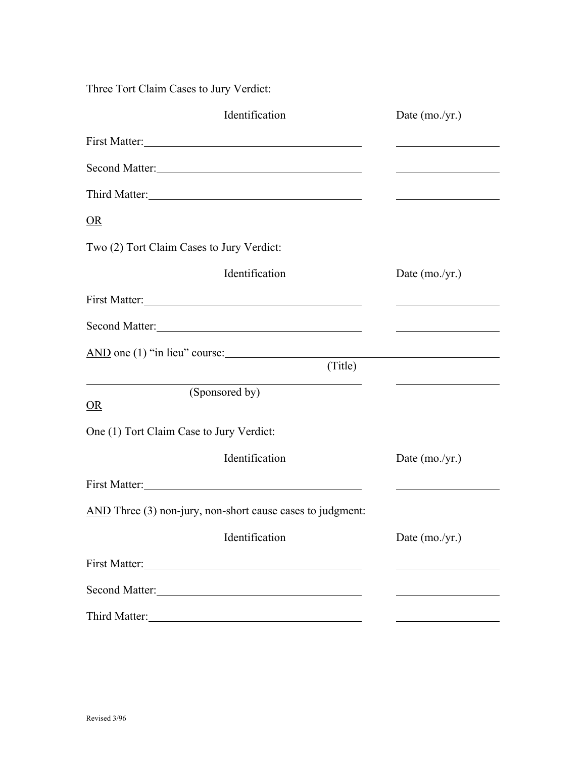Three Tort Claim Cases to Jury Verdict:

| Identification                                                                                                                                                                                                                 | Date $(mo./yr.)$                                                                                                                                                                                                                     |
|--------------------------------------------------------------------------------------------------------------------------------------------------------------------------------------------------------------------------------|--------------------------------------------------------------------------------------------------------------------------------------------------------------------------------------------------------------------------------------|
| First Matter:                                                                                                                                                                                                                  |                                                                                                                                                                                                                                      |
| Second Matter:                                                                                                                                                                                                                 | <u> 1989 - Johann Barbara, martxa alemaniar a</u>                                                                                                                                                                                    |
| Third Matter:                                                                                                                                                                                                                  | <u>state and the state of the state of the state of the state of the state of the state of the state of the state of the state of the state of the state of the state of the state of the state of the state of the state of the</u> |
| OR                                                                                                                                                                                                                             |                                                                                                                                                                                                                                      |
| Two (2) Tort Claim Cases to Jury Verdict:                                                                                                                                                                                      |                                                                                                                                                                                                                                      |
| Identification                                                                                                                                                                                                                 | Date $(mo./yr.)$                                                                                                                                                                                                                     |
| First Matter: New York Charles and Separate School and Separate School and Separate School and Separate School                                                                                                                 |                                                                                                                                                                                                                                      |
| Second Matter:                                                                                                                                                                                                                 | <u> The Communication of the Communication of</u>                                                                                                                                                                                    |
| AND one (1) "in lieu" course:                                                                                                                                                                                                  |                                                                                                                                                                                                                                      |
| (Title)                                                                                                                                                                                                                        | <u> 1989 - Andrea Andrew Maria (h. 1989).</u>                                                                                                                                                                                        |
| (Sponsored by)<br>OR                                                                                                                                                                                                           |                                                                                                                                                                                                                                      |
| One (1) Tort Claim Case to Jury Verdict:                                                                                                                                                                                       |                                                                                                                                                                                                                                      |
| Identification                                                                                                                                                                                                                 | Date $(mo./yr.)$                                                                                                                                                                                                                     |
| First Matter: 1000 and 1000 and 1000 and 1000 and 1000 and 1000 and 1000 and 1000 and 1000 and 1000 and 1000 and 1000 and 1000 and 1000 and 1000 and 1000 and 1000 and 1000 and 1000 and 1000 and 1000 and 1000 and 1000 and 1 |                                                                                                                                                                                                                                      |
| AND Three (3) non-jury, non-short cause cases to judgment:                                                                                                                                                                     |                                                                                                                                                                                                                                      |
| Identification                                                                                                                                                                                                                 | Date $(mo./yr.)$                                                                                                                                                                                                                     |
|                                                                                                                                                                                                                                |                                                                                                                                                                                                                                      |
| Second Matter:                                                                                                                                                                                                                 |                                                                                                                                                                                                                                      |
| Third Matter:                                                                                                                                                                                                                  |                                                                                                                                                                                                                                      |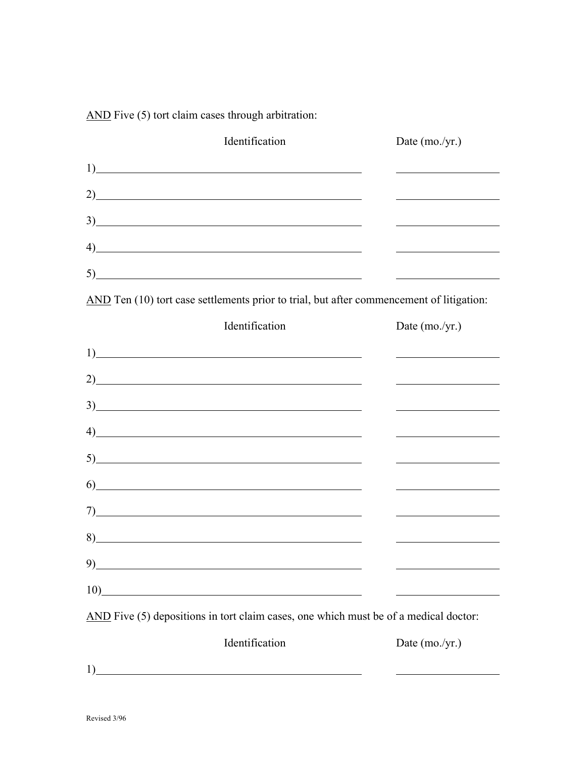AND Five (5) tort claim cases through arbitration:

| Identification                                                                                                                                                                                                                 | Date (mo./yr.)                                                                                                       |  |  |  |
|--------------------------------------------------------------------------------------------------------------------------------------------------------------------------------------------------------------------------------|----------------------------------------------------------------------------------------------------------------------|--|--|--|
|                                                                                                                                                                                                                                |                                                                                                                      |  |  |  |
| $2)$ and $2)$ and $2)$ and $2)$ and $2)$ and $2)$ and $2)$ and $2)$ and $2)$ and $2)$ and $2)$ and $2)$ and $2)$ and $2)$ and $2)$ and $2)$ and $2)$ and $2)$ and $2)$ and $2)$ and $2)$ and $2)$ and $2)$ and $2)$ and $2)$   | <u> 1980 - Johann Barn, mars ann an t-Amhain Aonaich an t-Aonaich an t-Aonaich ann an t-Aonaich ann an t-Aonaich</u> |  |  |  |
| $\frac{3}{2}$                                                                                                                                                                                                                  |                                                                                                                      |  |  |  |
| $\left(4\right)$                                                                                                                                                                                                               |                                                                                                                      |  |  |  |
| 5)                                                                                                                                                                                                                             |                                                                                                                      |  |  |  |
| AND Ten (10) tort case settlements prior to trial, but after commencement of litigation:                                                                                                                                       |                                                                                                                      |  |  |  |
| Identification                                                                                                                                                                                                                 | Date $(mo./yr.)$                                                                                                     |  |  |  |
| 1)                                                                                                                                                                                                                             |                                                                                                                      |  |  |  |
| 2)                                                                                                                                                                                                                             |                                                                                                                      |  |  |  |
| 3)                                                                                                                                                                                                                             |                                                                                                                      |  |  |  |
| $\left(4\right)$                                                                                                                                                                                                               |                                                                                                                      |  |  |  |
| $5)$ and $(5)$ and $(5)$ and $(5)$ and $(5)$ and $(5)$ and $(5)$ and $(5)$ and $(5)$ and $(5)$ and $(5)$ and $(5)$ and $(5)$ and $(5)$ and $(5)$ and $(5)$ and $(5)$ and $(5)$ and $(5)$ and $(5)$ and $(5)$ and $(5)$ and $($ | <u> 1980 - Johann Barn, mars ann an t-Amhain Aonaich an t-Aonaich an t-Aonaich ann an t-Aonaich ann an t-Aonaich</u> |  |  |  |
| $\overline{6}$                                                                                                                                                                                                                 |                                                                                                                      |  |  |  |
|                                                                                                                                                                                                                                |                                                                                                                      |  |  |  |
| 8)                                                                                                                                                                                                                             |                                                                                                                      |  |  |  |
| 9)                                                                                                                                                                                                                             |                                                                                                                      |  |  |  |
| <u> 1989 - Johann Barn, mars eta bainar eta baina eta baina eta baina eta baina eta baina eta baina eta baina e</u><br>10)                                                                                                     |                                                                                                                      |  |  |  |
| AND Five (5) depositions in tort claim cases, one which must be of a medical doctor:                                                                                                                                           |                                                                                                                      |  |  |  |
| Identification                                                                                                                                                                                                                 | Date $(mo./yr.)$                                                                                                     |  |  |  |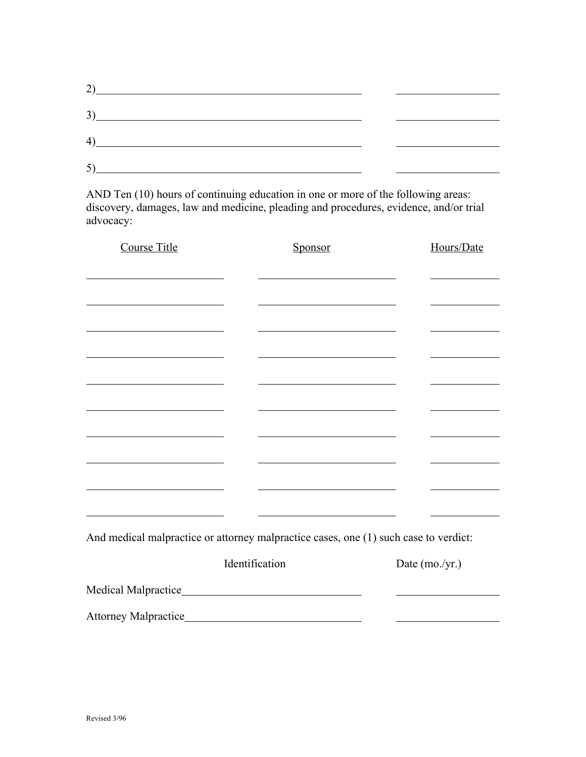| 2)                           |  |
|------------------------------|--|
| 3)                           |  |
| $\left( \frac{4}{2} \right)$ |  |
| 5)                           |  |
|                              |  |

AND Ten (10) hours of continuing education in one or more of the following areas: discovery, damages, law and medicine, pleading and procedures, evidence, and/or trial advocacy:

| <b>Course Title</b>                                                                  | Sponsor        |                                                             |                | Hours/Date |  |
|--------------------------------------------------------------------------------------|----------------|-------------------------------------------------------------|----------------|------------|--|
|                                                                                      |                |                                                             |                |            |  |
|                                                                                      |                |                                                             |                |            |  |
|                                                                                      |                |                                                             |                |            |  |
|                                                                                      |                |                                                             |                |            |  |
|                                                                                      |                |                                                             |                |            |  |
|                                                                                      |                |                                                             |                |            |  |
|                                                                                      |                |                                                             |                |            |  |
| <u> 1989 - Andrea Station Barbara, amerikan personal (</u>                           |                |                                                             |                |            |  |
| <u> 1989 - Johann Harry Barn, mars an t-Amerikaansk kommunist (</u>                  |                | <u> 1989 - Johann Barn, mars et al. (b. 1989)</u>           |                |            |  |
|                                                                                      |                |                                                             |                |            |  |
| <u> 1989 - Johann Barnett, fransk politiker (d. 1989)</u>                            |                | <u> 1989 - Johann Stoff, Amerikaansk politiker († 1908)</u> |                |            |  |
|                                                                                      |                |                                                             |                |            |  |
| And medical malpractice or attorney malpractice cases, one (1) such case to verdict: |                |                                                             |                |            |  |
|                                                                                      | Identification |                                                             | Date (mo./yr.) |            |  |
|                                                                                      |                |                                                             |                |            |  |
|                                                                                      |                |                                                             |                |            |  |